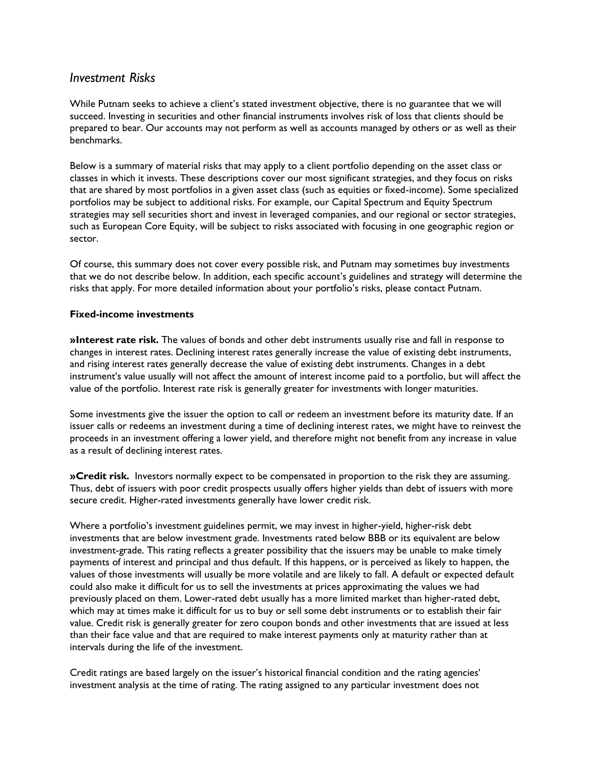# *Investment Risks*

While Putnam seeks to achieve a client's stated investment objective, there is no guarantee that we will succeed. Investing in securities and other financial instruments involves risk of loss that clients should be prepared to bear. Our accounts may not perform as well as accounts managed by others or as well as their benchmarks.

Below is a summary of material risks that may apply to a client portfolio depending on the asset class or classes in which it invests. These descriptions cover our most significant strategies, and they focus on risks that are shared by most portfolios in a given asset class (such as equities or fixed-income). Some specialized portfolios may be subject to additional risks. For example, our Capital Spectrum and Equity Spectrum strategies may sell securities short and invest in leveraged companies, and our regional or sector strategies, such as European Core Equity, will be subject to risks associated with focusing in one geographic region or sector.

Of course, this summary does not cover every possible risk, and Putnam may sometimes buy investments that we do not describe below. In addition, each specific account's guidelines and strategy will determine the risks that apply. For more detailed information about your portfolio's risks, please contact Putnam.

#### **Fixed-income investments**

**»Interest rate risk.** The values of bonds and other debt instruments usually rise and fall in response to changes in interest rates. Declining interest rates generally increase the value of existing debt instruments, and rising interest rates generally decrease the value of existing debt instruments. Changes in a debt instrument's value usually will not affect the amount of interest income paid to a portfolio, but will affect the value of the portfolio. Interest rate risk is generally greater for investments with longer maturities.

Some investments give the issuer the option to call or redeem an investment before its maturity date. If an issuer calls or redeems an investment during a time of declining interest rates, we might have to reinvest the proceeds in an investment offering a lower yield, and therefore might not benefit from any increase in value as a result of declining interest rates.

**»Credit risk.** Investors normally expect to be compensated in proportion to the risk they are assuming. Thus, debt of issuers with poor credit prospects usually offers higher yields than debt of issuers with more secure credit. Higher-rated investments generally have lower credit risk.

Where a portfolio's investment guidelines permit, we may invest in higher-yield, higher-risk debt investments that are below investment grade. Investments rated below BBB or its equivalent are below investment-grade. This rating reflects a greater possibility that the issuers may be unable to make timely payments of interest and principal and thus default. If this happens, or is perceived as likely to happen, the values of those investments will usually be more volatile and are likely to fall. A default or expected default could also make it difficult for us to sell the investments at prices approximating the values we had previously placed on them. Lower-rated debt usually has a more limited market than higher-rated debt, which may at times make it difficult for us to buy or sell some debt instruments or to establish their fair value. Credit risk is generally greater for zero coupon bonds and other investments that are issued at less than their face value and that are required to make interest payments only at maturity rather than at intervals during the life of the investment.

Credit ratings are based largely on the issuer's historical financial condition and the rating agencies' investment analysis at the time of rating. The rating assigned to any particular investment does not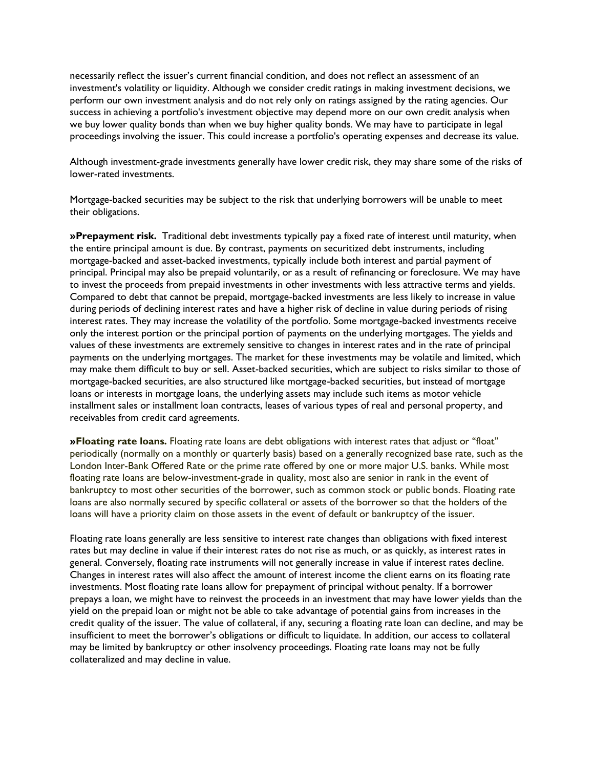necessarily reflect the issuer's current financial condition, and does not reflect an assessment of an investment's volatility or liquidity. Although we consider credit ratings in making investment decisions, we perform our own investment analysis and do not rely only on ratings assigned by the rating agencies. Our success in achieving a portfolio's investment objective may depend more on our own credit analysis when we buy lower quality bonds than when we buy higher quality bonds. We may have to participate in legal proceedings involving the issuer. This could increase a portfolio's operating expenses and decrease its value.

Although investment-grade investments generally have lower credit risk, they may share some of the risks of lower-rated investments.

Mortgage-backed securities may be subject to the risk that underlying borrowers will be unable to meet their obligations.

**»Prepayment risk.** Traditional debt investments typically pay a fixed rate of interest until maturity, when the entire principal amount is due. By contrast, payments on securitized debt instruments, including mortgage-backed and asset-backed investments, typically include both interest and partial payment of principal. Principal may also be prepaid voluntarily, or as a result of refinancing or foreclosure. We may have to invest the proceeds from prepaid investments in other investments with less attractive terms and yields. Compared to debt that cannot be prepaid, mortgage-backed investments are less likely to increase in value during periods of declining interest rates and have a higher risk of decline in value during periods of rising interest rates. They may increase the volatility of the portfolio. Some mortgage-backed investments receive only the interest portion or the principal portion of payments on the underlying mortgages. The yields and values of these investments are extremely sensitive to changes in interest rates and in the rate of principal payments on the underlying mortgages. The market for these investments may be volatile and limited, which may make them difficult to buy or sell. Asset-backed securities, which are subject to risks similar to those of mortgage-backed securities, are also structured like mortgage-backed securities, but instead of mortgage loans or interests in mortgage loans, the underlying assets may include such items as motor vehicle installment sales or installment loan contracts, leases of various types of real and personal property, and receivables from credit card agreements.

**»Floating rate loans.** Floating rate loans are debt obligations with interest rates that adjust or "float" periodically (normally on a monthly or quarterly basis) based on a generally recognized base rate, such as the London Inter-Bank Offered Rate or the prime rate offered by one or more major U.S. banks. While most floating rate loans are below-investment-grade in quality, most also are senior in rank in the event of bankruptcy to most other securities of the borrower, such as common stock or public bonds. Floating rate loans are also normally secured by specific collateral or assets of the borrower so that the holders of the loans will have a priority claim on those assets in the event of default or bankruptcy of the issuer.

Floating rate loans generally are less sensitive to interest rate changes than obligations with fixed interest rates but may decline in value if their interest rates do not rise as much, or as quickly, as interest rates in general. Conversely, floating rate instruments will not generally increase in value if interest rates decline. Changes in interest rates will also affect the amount of interest income the client earns on its floating rate investments. Most floating rate loans allow for prepayment of principal without penalty. If a borrower prepays a loan, we might have to reinvest the proceeds in an investment that may have lower yields than the yield on the prepaid loan or might not be able to take advantage of potential gains from increases in the credit quality of the issuer. The value of collateral, if any, securing a floating rate loan can decline, and may be insufficient to meet the borrower's obligations or difficult to liquidate. In addition, our access to collateral may be limited by bankruptcy or other insolvency proceedings. Floating rate loans may not be fully collateralized and may decline in value.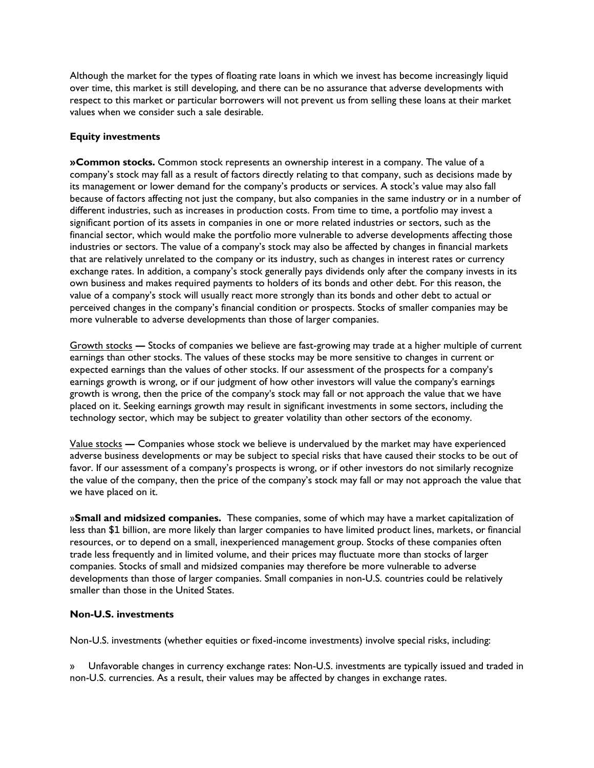Although the market for the types of floating rate loans in which we invest has become increasingly liquid over time, this market is still developing, and there can be no assurance that adverse developments with respect to this market or particular borrowers will not prevent us from selling these loans at their market values when we consider such a sale desirable.

#### **Equity investments**

**»Common stocks.** Common stock represents an ownership interest in a company. The value of a company's stock may fall as a result of factors directly relating to that company, such as decisions made by its management or lower demand for the company's products or services. A stock's value may also fall because of factors affecting not just the company, but also companies in the same industry or in a number of different industries, such as increases in production costs. From time to time, a portfolio may invest a significant portion of its assets in companies in one or more related industries or sectors, such as the financial sector, which would make the portfolio more vulnerable to adverse developments affecting those industries or sectors. The value of a company's stock may also be affected by changes in financial markets that are relatively unrelated to the company or its industry, such as changes in interest rates or currency exchange rates. In addition, a company's stock generally pays dividends only after the company invests in its own business and makes required payments to holders of its bonds and other debt. For this reason, the value of a company's stock will usually react more strongly than its bonds and other debt to actual or perceived changes in the company's financial condition or prospects. Stocks of smaller companies may be more vulnerable to adverse developments than those of larger companies.

Growth stocks **—** Stocks of companies we believe are fast-growing may trade at a higher multiple of current earnings than other stocks. The values of these stocks may be more sensitive to changes in current or expected earnings than the values of other stocks. If our assessment of the prospects for a company's earnings growth is wrong, or if our judgment of how other investors will value the company's earnings growth is wrong, then the price of the company's stock may fall or not approach the value that we have placed on it. Seeking earnings growth may result in significant investments in some sectors, including the technology sector, which may be subject to greater volatility than other sectors of the economy.

Value stocks **—** Companies whose stock we believe is undervalued by the market may have experienced adverse business developments or may be subject to special risks that have caused their stocks to be out of favor. If our assessment of a company's prospects is wrong, or if other investors do not similarly recognize the value of the company, then the price of the company's stock may fall or may not approach the value that we have placed on it.

»**Small and midsized companies.** These companies, some of which may have a market capitalization of less than \$1 billion, are more likely than larger companies to have limited product lines, markets, or financial resources, or to depend on a small, inexperienced management group. Stocks of these companies often trade less frequently and in limited volume, and their prices may fluctuate more than stocks of larger companies. Stocks of small and midsized companies may therefore be more vulnerable to adverse developments than those of larger companies. Small companies in non-U.S. countries could be relatively smaller than those in the United States.

#### **Non-U.S. investments**

Non-U.S. investments (whether equities or fixed-income investments) involve special risks, including:

» Unfavorable changes in currency exchange rates: Non-U.S. investments are typically issued and traded in non-U.S. currencies. As a result, their values may be affected by changes in exchange rates.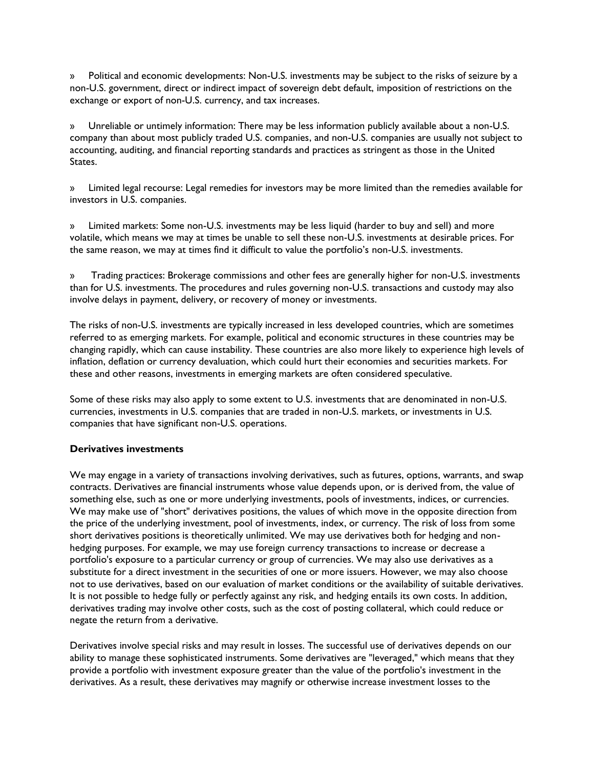» Political and economic developments: Non-U.S. investments may be subject to the risks of seizure by a non-U.S. government, direct or indirect impact of sovereign debt default, imposition of restrictions on the exchange or export of non-U.S. currency, and tax increases.

» Unreliable or untimely information: There may be less information publicly available about a non-U.S. company than about most publicly traded U.S. companies, and non-U.S. companies are usually not subject to accounting, auditing, and financial reporting standards and practices as stringent as those in the United States.

» Limited legal recourse: Legal remedies for investors may be more limited than the remedies available for investors in U.S. companies.

» Limited markets: Some non-U.S. investments may be less liquid (harder to buy and sell) and more volatile, which means we may at times be unable to sell these non-U.S. investments at desirable prices. For the same reason, we may at times find it difficult to value the portfolio's non-U.S. investments.

» Trading practices: Brokerage commissions and other fees are generally higher for non-U.S. investments than for U.S. investments. The procedures and rules governing non-U.S. transactions and custody may also involve delays in payment, delivery, or recovery of money or investments.

The risks of non-U.S. investments are typically increased in less developed countries, which are sometimes referred to as emerging markets. For example, political and economic structures in these countries may be changing rapidly, which can cause instability. These countries are also more likely to experience high levels of inflation, deflation or currency devaluation, which could hurt their economies and securities markets. For these and other reasons, investments in emerging markets are often considered speculative.

Some of these risks may also apply to some extent to U.S. investments that are denominated in non-U.S. currencies, investments in U.S. companies that are traded in non-U.S. markets, or investments in U.S. companies that have significant non-U.S. operations.

### **Derivatives investments**

We may engage in a variety of transactions involving derivatives, such as futures, options, warrants, and swap contracts. Derivatives are financial instruments whose value depends upon, or is derived from, the value of something else, such as one or more underlying investments, pools of investments, indices, or currencies. We may make use of "short" derivatives positions, the values of which move in the opposite direction from the price of the underlying investment, pool of investments, index, or currency. The risk of loss from some short derivatives positions is theoretically unlimited. We may use derivatives both for hedging and nonhedging purposes. For example, we may use foreign currency transactions to increase or decrease a portfolio's exposure to a particular currency or group of currencies. We may also use derivatives as a substitute for a direct investment in the securities of one or more issuers. However, we may also choose not to use derivatives, based on our evaluation of market conditions or the availability of suitable derivatives. It is not possible to hedge fully or perfectly against any risk, and hedging entails its own costs. In addition, derivatives trading may involve other costs, such as the cost of posting collateral, which could reduce or negate the return from a derivative.

Derivatives involve special risks and may result in losses. The successful use of derivatives depends on our ability to manage these sophisticated instruments. Some derivatives are "leveraged," which means that they provide a portfolio with investment exposure greater than the value of the portfolio's investment in the derivatives. As a result, these derivatives may magnify or otherwise increase investment losses to the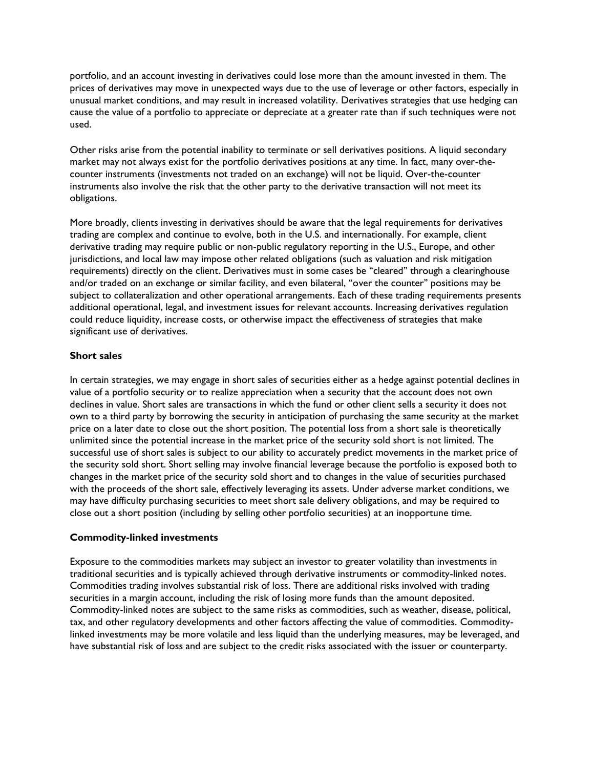portfolio, and an account investing in derivatives could lose more than the amount invested in them. The prices of derivatives may move in unexpected ways due to the use of leverage or other factors, especially in unusual market conditions, and may result in increased volatility. Derivatives strategies that use hedging can cause the value of a portfolio to appreciate or depreciate at a greater rate than if such techniques were not used.

Other risks arise from the potential inability to terminate or sell derivatives positions. A liquid secondary market may not always exist for the portfolio derivatives positions at any time. In fact, many over-thecounter instruments (investments not traded on an exchange) will not be liquid. Over-the-counter instruments also involve the risk that the other party to the derivative transaction will not meet its obligations.

More broadly, clients investing in derivatives should be aware that the legal requirements for derivatives trading are complex and continue to evolve, both in the U.S. and internationally. For example, client derivative trading may require public or non-public regulatory reporting in the U.S., Europe, and other jurisdictions, and local law may impose other related obligations (such as valuation and risk mitigation requirements) directly on the client. Derivatives must in some cases be "cleared" through a clearinghouse and/or traded on an exchange or similar facility, and even bilateral, "over the counter" positions may be subject to collateralization and other operational arrangements. Each of these trading requirements presents additional operational, legal, and investment issues for relevant accounts. Increasing derivatives regulation could reduce liquidity, increase costs, or otherwise impact the effectiveness of strategies that make significant use of derivatives.

#### **Short sales**

In certain strategies, we may engage in short sales of securities either as a hedge against potential declines in value of a portfolio security or to realize appreciation when a security that the account does not own declines in value. Short sales are transactions in which the fund or other client sells a security it does not own to a third party by borrowing the security in anticipation of purchasing the same security at the market price on a later date to close out the short position. The potential loss from a short sale is theoretically unlimited since the potential increase in the market price of the security sold short is not limited. The successful use of short sales is subject to our ability to accurately predict movements in the market price of the security sold short. Short selling may involve financial leverage because the portfolio is exposed both to changes in the market price of the security sold short and to changes in the value of securities purchased with the proceeds of the short sale, effectively leveraging its assets. Under adverse market conditions, we may have difficulty purchasing securities to meet short sale delivery obligations, and may be required to close out a short position (including by selling other portfolio securities) at an inopportune time.

### **Commodity-linked investments**

Exposure to the commodities markets may subject an investor to greater volatility than investments in traditional securities and is typically achieved through derivative instruments or commodity-linked notes. Commodities trading involves substantial risk of loss. There are additional risks involved with trading securities in a margin account, including the risk of losing more funds than the amount deposited. Commodity-linked notes are subject to the same risks as commodities, such as weather, disease, political, tax, and other regulatory developments and other factors affecting the value of commodities. Commoditylinked investments may be more volatile and less liquid than the underlying measures, may be leveraged, and have substantial risk of loss and are subject to the credit risks associated with the issuer or counterparty.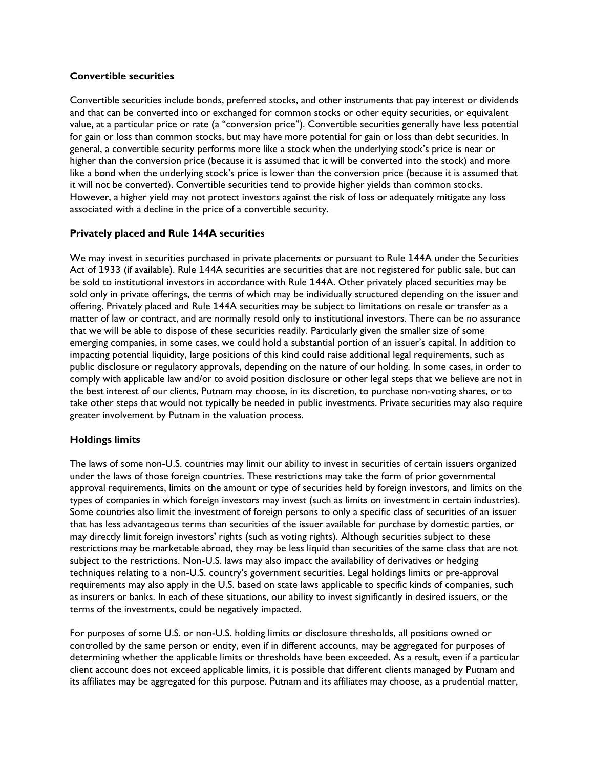#### **Convertible securities**

Convertible securities include bonds, preferred stocks, and other instruments that pay interest or dividends and that can be converted into or exchanged for common stocks or other equity securities, or equivalent value, at a particular price or rate (a "conversion price"). Convertible securities generally have less potential for gain or loss than common stocks, but may have more potential for gain or loss than debt securities. In general, a convertible security performs more like a stock when the underlying stock's price is near or higher than the conversion price (because it is assumed that it will be converted into the stock) and more like a bond when the underlying stock's price is lower than the conversion price (because it is assumed that it will not be converted). Convertible securities tend to provide higher yields than common stocks. However, a higher yield may not protect investors against the risk of loss or adequately mitigate any loss associated with a decline in the price of a convertible security.

### **Privately placed and Rule 144A securities**

We may invest in securities purchased in private placements or pursuant to Rule 144A under the Securities Act of 1933 (if available). Rule 144A securities are securities that are not registered for public sale, but can be sold to institutional investors in accordance with Rule 144A. Other privately placed securities may be sold only in private offerings, the terms of which may be individually structured depending on the issuer and offering. Privately placed and Rule 144A securities may be subject to limitations on resale or transfer as a matter of law or contract, and are normally resold only to institutional investors. There can be no assurance that we will be able to dispose of these securities readily. Particularly given the smaller size of some emerging companies, in some cases, we could hold a substantial portion of an issuer's capital. In addition to impacting potential liquidity, large positions of this kind could raise additional legal requirements, such as public disclosure or regulatory approvals, depending on the nature of our holding. In some cases, in order to comply with applicable law and/or to avoid position disclosure or other legal steps that we believe are not in the best interest of our clients, Putnam may choose, in its discretion, to purchase non-voting shares, or to take other steps that would not typically be needed in public investments. Private securities may also require greater involvement by Putnam in the valuation process.

### **Holdings limits**

The laws of some non-U.S. countries may limit our ability to invest in securities of certain issuers organized under the laws of those foreign countries. These restrictions may take the form of prior governmental approval requirements, limits on the amount or type of securities held by foreign investors, and limits on the types of companies in which foreign investors may invest (such as limits on investment in certain industries). Some countries also limit the investment of foreign persons to only a specific class of securities of an issuer that has less advantageous terms than securities of the issuer available for purchase by domestic parties, or may directly limit foreign investors' rights (such as voting rights). Although securities subject to these restrictions may be marketable abroad, they may be less liquid than securities of the same class that are not subject to the restrictions. Non-U.S. laws may also impact the availability of derivatives or hedging techniques relating to a non-U.S. country's government securities. Legal holdings limits or pre-approval requirements may also apply in the U.S. based on state laws applicable to specific kinds of companies, such as insurers or banks. In each of these situations, our ability to invest significantly in desired issuers, or the terms of the investments, could be negatively impacted.

For purposes of some U.S. or non-U.S. holding limits or disclosure thresholds, all positions owned or controlled by the same person or entity, even if in different accounts, may be aggregated for purposes of determining whether the applicable limits or thresholds have been exceeded. As a result, even if a particular client account does not exceed applicable limits, it is possible that different clients managed by Putnam and its affiliates may be aggregated for this purpose. Putnam and its affiliates may choose, as a prudential matter,